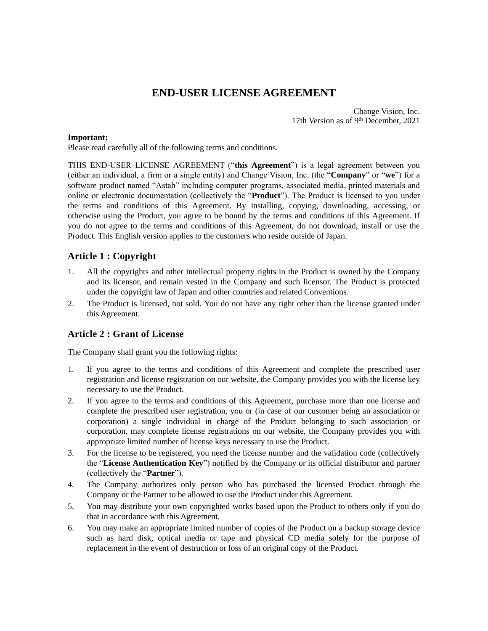# **END-USER LICENSE AGREEMENT**

Change Vision, Inc. 17th Version as of 9th December, 2021

#### **Important:**

Please read carefully all of the following terms and conditions.

THIS END-USER LICENSE AGREEMENT ("**this Agreement**") is a legal agreement between you (either an individual, a firm or a single entity) and Change Vision, Inc. (the "**Company**" or "**we**") for a software product named "Astah" including computer programs, associated media, printed materials and online or electronic documentation (collectively the "**Product**"). The Product is licensed to you under the terms and conditions of this Agreement. By installing, copying, downloading, accessing, or otherwise using the Product, you agree to be bound by the terms and conditions of this Agreement. If you do not agree to the terms and conditions of this Agreement, do not download, install or use the Product. This English version applies to the customers who reside outside of Japan.

# **Article 1 : Copyright**

- 1. All the copyrights and other intellectual property rights in the Product is owned by the Company and its licensor, and remain vested in the Company and such licensor. The Product is protected under the copyright law of Japan and other countries and related Conventions.
- 2. The Product is licensed, not sold. You do not have any right other than the license granted under this Agreement.

# **Article 2 : Grant of License**

The Company shall grant you the following rights:

- 1. If you agree to the terms and conditions of this Agreement and complete the prescribed user registration and license registration on our website, the Company provides you with the license key necessary to use the Product.
- 2. If you agree to the terms and conditions of this Agreement, purchase more than one license and complete the prescribed user registration, you or (in case of our customer being an association or corporation) a single individual in charge of the Product belonging to such association or corporation, may complete license registrations on our website, the Company provides you with appropriate limited number of license keys necessary to use the Product.
- 3. For the license to be registered, you need the license number and the validation code (collectively the "**License Authentication Key**") notified by the Company or its official distributor and partner (collectively the "**Partner**").
- 4. The Company authorizes only person who has purchased the licensed Product through the Company or the Partner to be allowed to use the Product under this Agreement.
- 5. You may distribute your own copyrighted works based upon the Product to others only if you do that in accordance with this Agreement.
- 6. You may make an appropriate limited number of copies of the Product on a backup storage device such as hard disk, optical media or tape and physical CD media solely for the purpose of replacement in the event of destruction or loss of an original copy of the Product.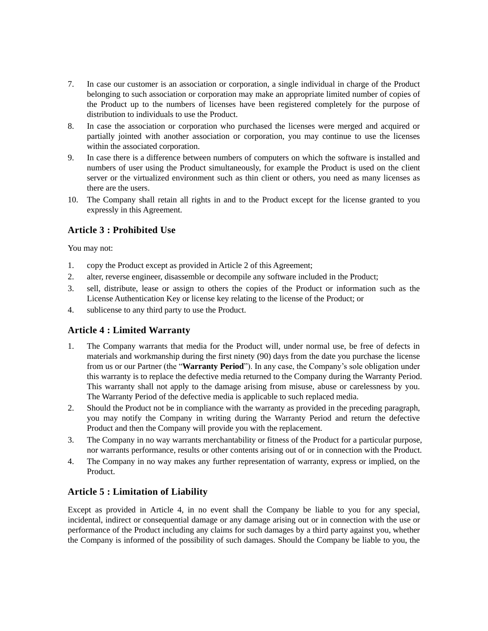- 7. In case our customer is an association or corporation, a single individual in charge of the Product belonging to such association or corporation may make an appropriate limited number of copies of the Product up to the numbers of licenses have been registered completely for the purpose of distribution to individuals to use the Product.
- 8. In case the association or corporation who purchased the licenses were merged and acquired or partially jointed with another association or corporation, you may continue to use the licenses within the associated corporation.
- 9. In case there is a difference between numbers of computers on which the software is installed and numbers of user using the Product simultaneously, for example the Product is used on the client server or the virtualized environment such as thin client or others, you need as many licenses as there are the users.
- 10. The Company shall retain all rights in and to the Product except for the license granted to you expressly in this Agreement.

# **Article 3 : Prohibited Use**

You may not:

- 1. copy the Product except as provided in Article 2 of this Agreement;
- 2. alter, reverse engineer, disassemble or decompile any software included in the Product;
- 3. sell, distribute, lease or assign to others the copies of the Product or information such as the License Authentication Key or license key relating to the license of the Product; or
- 4. sublicense to any third party to use the Product.

# **Article 4 : Limited Warranty**

- 1. The Company warrants that media for the Product will, under normal use, be free of defects in materials and workmanship during the first ninety (90) days from the date you purchase the license from us or our Partner (the "**Warranty Period**"). In any case, the Company's sole obligation under this warranty is to replace the defective media returned to the Company during the Warranty Period. This warranty shall not apply to the damage arising from misuse, abuse or carelessness by you. The Warranty Period of the defective media is applicable to such replaced media.
- 2. Should the Product not be in compliance with the warranty as provided in the preceding paragraph, you may notify the Company in writing during the Warranty Period and return the defective Product and then the Company will provide you with the replacement.
- 3. The Company in no way warrants merchantability or fitness of the Product for a particular purpose, nor warrants performance, results or other contents arising out of or in connection with the Product.
- 4. The Company in no way makes any further representation of warranty, express or implied, on the Product.

# **Article 5 : Limitation of Liability**

Except as provided in Article 4, in no event shall the Company be liable to you for any special, incidental, indirect or consequential damage or any damage arising out or in connection with the use or performance of the Product including any claims for such damages by a third party against you, whether the Company is informed of the possibility of such damages. Should the Company be liable to you, the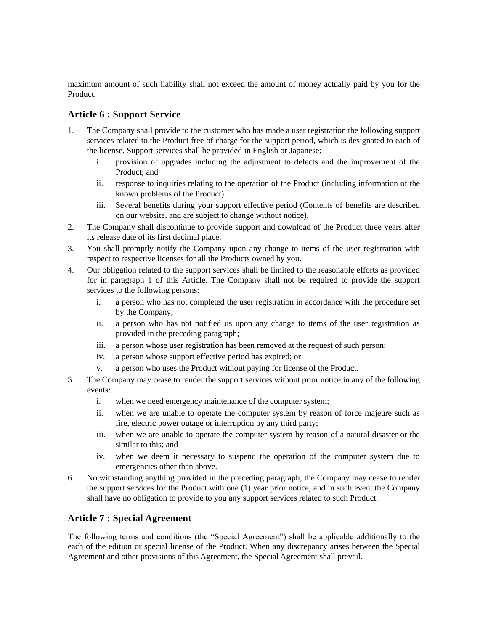maximum amount of such liability shall not exceed the amount of money actually paid by you for the Product.

# **Article 6 : Support Service**

- 1. The Company shall provide to the customer who has made a user registration the following support services related to the Product free of charge for the support period, which is designated to each of the license. Support services shall be provided in English or Japanese:
	- i. provision of upgrades including the adjustment to defects and the improvement of the Product; and
	- ii. response to inquiries relating to the operation of the Product (including information of the known problems of the Product).
	- iii. Several benefits during your support effective period (Contents of benefits are described on our website, and are subject to change without notice).
- 2. The Company shall discontinue to provide support and download of the Product three years after its release date of its first decimal place.
- 3. You shall promptly notify the Company upon any change to items of the user registration with respect to respective licenses for all the Products owned by you.
- 4. Our obligation related to the support services shall be limited to the reasonable efforts as provided for in paragraph 1 of this Article. The Company shall not be required to provide the support services to the following persons:
	- i. a person who has not completed the user registration in accordance with the procedure set by the Company;
	- ii. a person who has not notified us upon any change to items of the user registration as provided in the preceding paragraph;
	- iii. a person whose user registration has been removed at the request of such person;
	- iv. a person whose support effective period has expired; or
	- v. a person who uses the Product without paying for license of the Product.
- 5. The Company may cease to render the support services without prior notice in any of the following events:
	- i. when we need emergency maintenance of the computer system;
	- ii. when we are unable to operate the computer system by reason of force majeure such as fire, electric power outage or interruption by any third party;
	- iii. when we are unable to operate the computer system by reason of a natural disaster or the similar to this; and
	- iv. when we deem it necessary to suspend the operation of the computer system due to emergencies other than above.
- 6. Notwithstanding anything provided in the preceding paragraph, the Company may cease to render the support services for the Product with one (1) year prior notice, and in such event the Company shall have no obligation to provide to you any support services related to such Product.

# **Article 7 : Special Agreement**

The following terms and conditions (the "Special Agreement") shall be applicable additionally to the each of the edition or special license of the Product. When any discrepancy arises between the Special Agreement and other provisions of this Agreement, the Special Agreement shall prevail.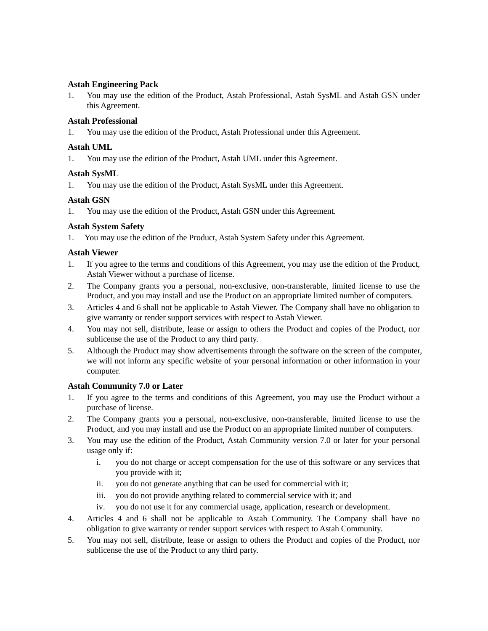### **Astah Engineering Pack**

1. You may use the edition of the Product, Astah Professional, Astah SysML and Astah GSN under this Agreement.

### **Astah Professional**

1. You may use the edition of the Product, Astah Professional under this Agreement.

### **Astah UML**

1. You may use the edition of the Product, Astah UML under this Agreement.

#### **Astah SysML**

1. You may use the edition of the Product, Astah SysML under this Agreement.

#### **Astah GSN**

1. You may use the edition of the Product, Astah GSN under this Agreement.

## **Astah System Safety**

1. You may use the edition of the Product, Astah System Safety under this Agreement.

#### **Astah Viewer**

- 1. If you agree to the terms and conditions of this Agreement, you may use the edition of the Product, Astah Viewer without a purchase of license.
- 2. The Company grants you a personal, non-exclusive, non-transferable, limited license to use the Product, and you may install and use the Product on an appropriate limited number of computers.
- 3. Articles 4 and 6 shall not be applicable to Astah Viewer. The Company shall have no obligation to give warranty or render support services with respect to Astah Viewer.
- 4. You may not sell, distribute, lease or assign to others the Product and copies of the Product, nor sublicense the use of the Product to any third party.
- 5. Although the Product may show advertisements through the software on the screen of the computer, we will not inform any specific website of your personal information or other information in your computer.

## **Astah Community 7.0 or Later**

- 1. If you agree to the terms and conditions of this Agreement, you may use the Product without a purchase of license.
- 2. The Company grants you a personal, non-exclusive, non-transferable, limited license to use the Product, and you may install and use the Product on an appropriate limited number of computers.
- 3. You may use the edition of the Product, Astah Community version 7.0 or later for your personal usage only if:
	- i. you do not charge or accept compensation for the use of this software or any services that you provide with it;
	- ii. you do not generate anything that can be used for commercial with it;
	- iii. you do not provide anything related to commercial service with it; and
	- iv. you do not use it for any commercial usage, application, research or development.
- 4. Articles 4 and 6 shall not be applicable to Astah Community. The Company shall have no obligation to give warranty or render support services with respect to Astah Community.
- 5. You may not sell, distribute, lease or assign to others the Product and copies of the Product, nor sublicense the use of the Product to any third party.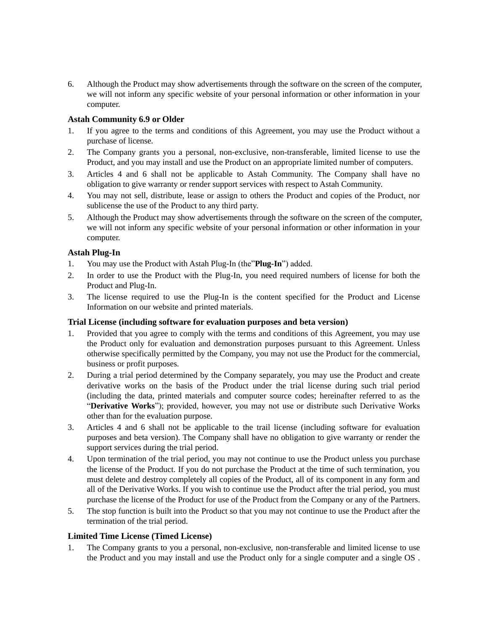6. Although the Product may show advertisements through the software on the screen of the computer, we will not inform any specific website of your personal information or other information in your computer.

### **Astah Community 6.9 or Older**

- 1. If you agree to the terms and conditions of this Agreement, you may use the Product without a purchase of license.
- 2. The Company grants you a personal, non-exclusive, non-transferable, limited license to use the Product, and you may install and use the Product on an appropriate limited number of computers.
- 3. Articles 4 and 6 shall not be applicable to Astah Community. The Company shall have no obligation to give warranty or render support services with respect to Astah Community.
- 4. You may not sell, distribute, lease or assign to others the Product and copies of the Product, nor sublicense the use of the Product to any third party.
- 5. Although the Product may show advertisements through the software on the screen of the computer, we will not inform any specific website of your personal information or other information in your computer.

#### **Astah Plug-In**

- 1. You may use the Product with Astah Plug-In (the"**Plug-In**") added.
- 2. In order to use the Product with the Plug-In, you need required numbers of license for both the Product and Plug-In.
- 3. The license required to use the Plug-In is the content specified for the Product and License Information on our website and printed materials.

#### **Trial License (including software for evaluation purposes and beta version)**

- 1. Provided that you agree to comply with the terms and conditions of this Agreement, you may use the Product only for evaluation and demonstration purposes pursuant to this Agreement. Unless otherwise specifically permitted by the Company, you may not use the Product for the commercial, business or profit purposes.
- 2. During a trial period determined by the Company separately, you may use the Product and create derivative works on the basis of the Product under the trial license during such trial period (including the data, printed materials and computer source codes; hereinafter referred to as the "**Derivative Works**"); provided, however, you may not use or distribute such Derivative Works other than for the evaluation purpose.
- 3. Articles 4 and 6 shall not be applicable to the trail license (including software for evaluation purposes and beta version). The Company shall have no obligation to give warranty or render the support services during the trial period.
- 4. Upon termination of the trial period, you may not continue to use the Product unless you purchase the license of the Product. If you do not purchase the Product at the time of such termination, you must delete and destroy completely all copies of the Product, all of its component in any form and all of the Derivative Works. If you wish to continue use the Product after the trial period, you must purchase the license of the Product for use of the Product from the Company or any of the Partners.
- 5. The stop function is built into the Product so that you may not continue to use the Product after the termination of the trial period.

#### **Limited Time License (Timed License)**

1. The Company grants to you a personal, non-exclusive, non-transferable and limited license to use the Product and you may install and use the Product only for a single computer and a single OS .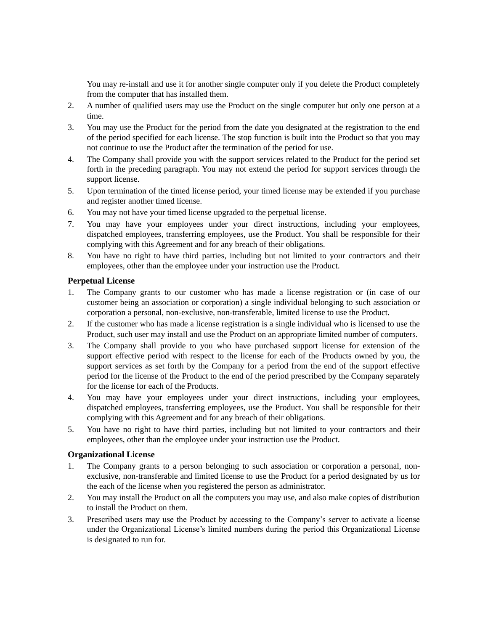You may re-install and use it for another single computer only if you delete the Product completely from the computer that has installed them.

- 2. A number of qualified users may use the Product on the single computer but only one person at a time.
- 3. You may use the Product for the period from the date you designated at the registration to the end of the period specified for each license. The stop function is built into the Product so that you may not continue to use the Product after the termination of the period for use.
- 4. The Company shall provide you with the support services related to the Product for the period set forth in the preceding paragraph. You may not extend the period for support services through the support license.
- 5. Upon termination of the timed license period, your timed license may be extended if you purchase and register another timed license.
- 6. You may not have your timed license upgraded to the perpetual license.
- 7. You may have your employees under your direct instructions, including your employees, dispatched employees, transferring employees, use the Product. You shall be responsible for their complying with this Agreement and for any breach of their obligations.
- 8. You have no right to have third parties, including but not limited to your contractors and their employees, other than the employee under your instruction use the Product.

#### **Perpetual License**

- 1. The Company grants to our customer who has made a license registration or (in case of our customer being an association or corporation) a single individual belonging to such association or corporation a personal, non-exclusive, non-transferable, limited license to use the Product.
- 2. If the customer who has made a license registration is a single individual who is licensed to use the Product, such user may install and use the Product on an appropriate limited number of computers.
- 3. The Company shall provide to you who have purchased support license for extension of the support effective period with respect to the license for each of the Products owned by you, the support services as set forth by the Company for a period from the end of the support effective period for the license of the Product to the end of the period prescribed by the Company separately for the license for each of the Products.
- 4. You may have your employees under your direct instructions, including your employees, dispatched employees, transferring employees, use the Product. You shall be responsible for their complying with this Agreement and for any breach of their obligations.
- 5. You have no right to have third parties, including but not limited to your contractors and their employees, other than the employee under your instruction use the Product.

#### **Organizational License**

- 1. The Company grants to a person belonging to such association or corporation a personal, nonexclusive, non-transferable and limited license to use the Product for a period designated by us for the each of the license when you registered the person as administrator.
- 2. You may install the Product on all the computers you may use, and also make copies of distribution to install the Product on them.
- 3. Prescribed users may use the Product by accessing to the Company's server to activate a license under the Organizational License's limited numbers during the period this Organizational License is designated to run for.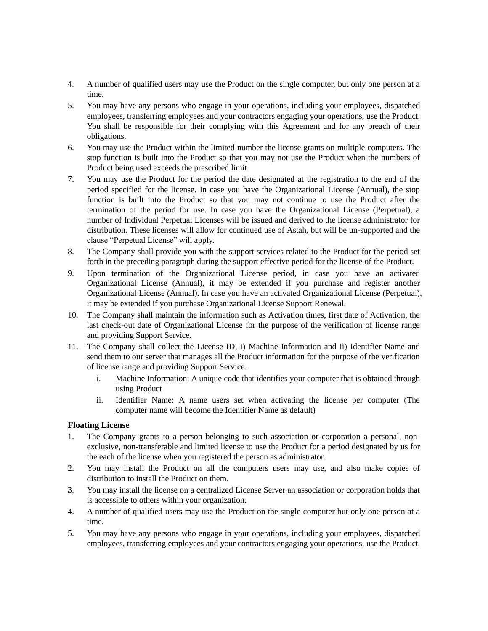- 4. A number of qualified users may use the Product on the single computer, but only one person at a time.
- 5. You may have any persons who engage in your operations, including your employees, dispatched employees, transferring employees and your contractors engaging your operations, use the Product. You shall be responsible for their complying with this Agreement and for any breach of their obligations.
- 6. You may use the Product within the limited number the license grants on multiple computers. The stop function is built into the Product so that you may not use the Product when the numbers of Product being used exceeds the prescribed limit.
- 7. You may use the Product for the period the date designated at the registration to the end of the period specified for the license. In case you have the Organizational License (Annual), the stop function is built into the Product so that you may not continue to use the Product after the termination of the period for use. In case you have the Organizational License (Perpetual), a number of Individual Perpetual Licenses will be issued and derived to the license administrator for distribution. These licenses will allow for continued use of Astah, but will be un-supported and the clause "Perpetual License" will apply.
- 8. The Company shall provide you with the support services related to the Product for the period set forth in the preceding paragraph during the support effective period for the license of the Product.
- 9. Upon termination of the Organizational License period, in case you have an activated Organizational License (Annual), it may be extended if you purchase and register another Organizational License (Annual). In case you have an activated Organizational License (Perpetual), it may be extended if you purchase Organizational License Support Renewal.
- 10. The Company shall maintain the information such as Activation times, first date of Activation, the last check-out date of Organizational License for the purpose of the verification of license range and providing Support Service.
- 11. The Company shall collect the License ID, i) Machine Information and ii) Identifier Name and send them to our server that manages all the Product information for the purpose of the verification of license range and providing Support Service.
	- i. Machine Information: A unique code that identifies your computer that is obtained through using Product
	- ii. Identifier Name: A name users set when activating the license per computer (The computer name will become the Identifier Name as default)

## **Floating License**

- 1. The Company grants to a person belonging to such association or corporation a personal, nonexclusive, non-transferable and limited license to use the Product for a period designated by us for the each of the license when you registered the person as administrator.
- 2. You may install the Product on all the computers users may use, and also make copies of distribution to install the Product on them.
- 3. You may install the license on a centralized License Server an association or corporation holds that is accessible to others within your organization.
- 4. A number of qualified users may use the Product on the single computer but only one person at a time.
- 5. You may have any persons who engage in your operations, including your employees, dispatched employees, transferring employees and your contractors engaging your operations, use the Product.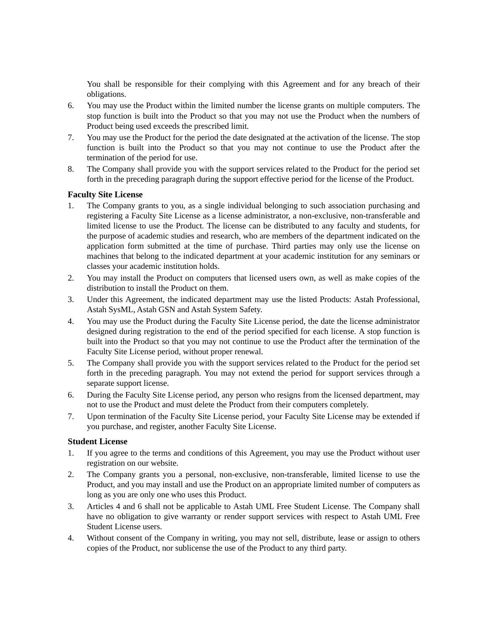You shall be responsible for their complying with this Agreement and for any breach of their obligations.

- 6. You may use the Product within the limited number the license grants on multiple computers. The stop function is built into the Product so that you may not use the Product when the numbers of Product being used exceeds the prescribed limit.
- 7. You may use the Product for the period the date designated at the activation of the license. The stop function is built into the Product so that you may not continue to use the Product after the termination of the period for use.
- 8. The Company shall provide you with the support services related to the Product for the period set forth in the preceding paragraph during the support effective period for the license of the Product.

#### **Faculty Site License**

- 1. The Company grants to you, as a single individual belonging to such association purchasing and registering a Faculty Site License as a license administrator, a non-exclusive, non-transferable and limited license to use the Product. The license can be distributed to any faculty and students, for the purpose of academic studies and research, who are members of the department indicated on the application form submitted at the time of purchase. Third parties may only use the license on machines that belong to the indicated department at your academic institution for any seminars or classes your academic institution holds.
- 2. You may install the Product on computers that licensed users own, as well as make copies of the distribution to install the Product on them.
- 3. Under this Agreement, the indicated department may use the listed Products: Astah Professional, Astah SysML, Astah GSN and Astah System Safety.
- 4. You may use the Product during the Faculty Site License period, the date the license administrator designed during registration to the end of the period specified for each license. A stop function is built into the Product so that you may not continue to use the Product after the termination of the Faculty Site License period, without proper renewal.
- 5. The Company shall provide you with the support services related to the Product for the period set forth in the preceding paragraph. You may not extend the period for support services through a separate support license.
- 6. During the Faculty Site License period, any person who resigns from the licensed department, may not to use the Product and must delete the Product from their computers completely.
- 7. Upon termination of the Faculty Site License period, your Faculty Site License may be extended if you purchase, and register, another Faculty Site License.

#### **Student License**

- 1. If you agree to the terms and conditions of this Agreement, you may use the Product without user registration on our website.
- 2. The Company grants you a personal, non-exclusive, non-transferable, limited license to use the Product, and you may install and use the Product on an appropriate limited number of computers as long as you are only one who uses this Product.
- 3. Articles 4 and 6 shall not be applicable to Astah UML Free Student License. The Company shall have no obligation to give warranty or render support services with respect to Astah UML Free Student License users.
- 4. Without consent of the Company in writing, you may not sell, distribute, lease or assign to others copies of the Product, nor sublicense the use of the Product to any third party.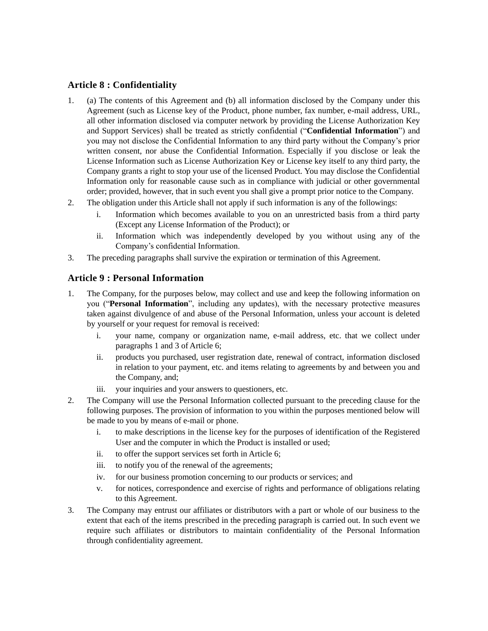# **Article 8 : Confidentiality**

- 1. (a) The contents of this Agreement and (b) all information disclosed by the Company under this Agreement (such as License key of the Product, phone number, fax number, e-mail address, URL, all other information disclosed via computer network by providing the License Authorization Key and Support Services) shall be treated as strictly confidential ("**Confidential Information**") and you may not disclose the Confidential Information to any third party without the Company's prior written consent, nor abuse the Confidential Information. Especially if you disclose or leak the License Information such as License Authorization Key or License key itself to any third party, the Company grants a right to stop your use of the licensed Product. You may disclose the Confidential Information only for reasonable cause such as in compliance with judicial or other governmental order; provided, however, that in such event you shall give a prompt prior notice to the Company.
- 2. The obligation under this Article shall not apply if such information is any of the followings:
	- i. Information which becomes available to you on an unrestricted basis from a third party (Except any License Information of the Product); or
	- ii. Information which was independently developed by you without using any of the Company's confidential Information.
- 3. The preceding paragraphs shall survive the expiration or termination of this Agreement.

# **Article 9 : Personal Information**

- 1. The Company, for the purposes below, may collect and use and keep the following information on you ("**Personal Information**", including any updates), with the necessary protective measures taken against divulgence of and abuse of the Personal Information, unless your account is deleted by yourself or your request for removal is received:
	- i. your name, company or organization name, e-mail address, etc. that we collect under paragraphs 1 and 3 of Article 6;
	- ii. products you purchased, user registration date, renewal of contract, information disclosed in relation to your payment, etc. and items relating to agreements by and between you and the Company, and;
	- iii. your inquiries and your answers to questioners, etc.
- 2. The Company will use the Personal Information collected pursuant to the preceding clause for the following purposes. The provision of information to you within the purposes mentioned below will be made to you by means of e-mail or phone.
	- i. to make descriptions in the license key for the purposes of identification of the Registered User and the computer in which the Product is installed or used;
	- ii. to offer the support services set forth in Article 6;
	- iii. to notify you of the renewal of the agreements;
	- iv. for our business promotion concerning to our products or services; and
	- v. for notices, correspondence and exercise of rights and performance of obligations relating to this Agreement.
- 3. The Company may entrust our affiliates or distributors with a part or whole of our business to the extent that each of the items prescribed in the preceding paragraph is carried out. In such event we require such affiliates or distributors to maintain confidentiality of the Personal Information through confidentiality agreement.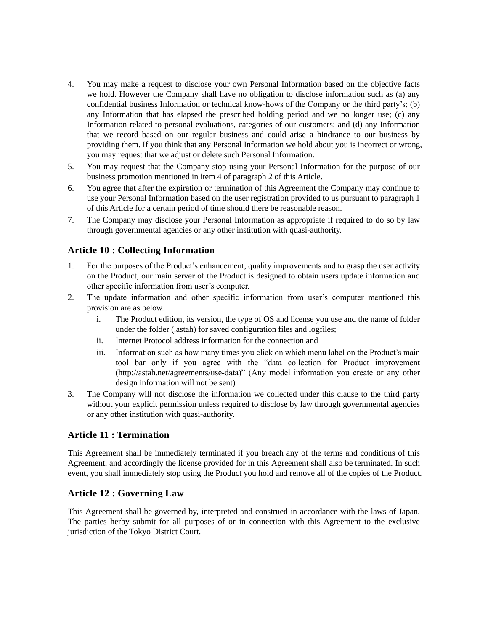- 4. You may make a request to disclose your own Personal Information based on the objective facts we hold. However the Company shall have no obligation to disclose information such as (a) any confidential business Information or technical know-hows of the Company or the third party's; (b) any Information that has elapsed the prescribed holding period and we no longer use; (c) any Information related to personal evaluations, categories of our customers; and (d) any Information that we record based on our regular business and could arise a hindrance to our business by providing them. If you think that any Personal Information we hold about you is incorrect or wrong, you may request that we adjust or delete such Personal Information.
- 5. You may request that the Company stop using your Personal Information for the purpose of our business promotion mentioned in item 4 of paragraph 2 of this Article.
- 6. You agree that after the expiration or termination of this Agreement the Company may continue to use your Personal Information based on the user registration provided to us pursuant to paragraph 1 of this Article for a certain period of time should there be reasonable reason.
- 7. The Company may disclose your Personal Information as appropriate if required to do so by law through governmental agencies or any other institution with quasi-authority.

# **Article 10 : Collecting Information**

- 1. For the purposes of the Product's enhancement, quality improvements and to grasp the user activity on the Product, our main server of the Product is designed to obtain users update information and other specific information from user's computer.
- 2. The update information and other specific information from user's computer mentioned this provision are as below.
	- i. The Product edition, its version, the type of OS and license you use and the name of folder under the folder (.astah) for saved configuration files and logfiles;
	- ii. Internet Protocol address information for the connection and
	- iii. Information such as how many times you click on which menu label on the Product's main tool bar only if you agree with the "data collection for Product improvement (http://astah.net/agreements/use-data)" (Any model information you create or any other design information will not be sent)
- 3. The Company will not disclose the information we collected under this clause to the third party without your explicit permission unless required to disclose by law through governmental agencies or any other institution with quasi-authority.

## **Article 11 : Termination**

This Agreement shall be immediately terminated if you breach any of the terms and conditions of this Agreement, and accordingly the license provided for in this Agreement shall also be terminated. In such event, you shall immediately stop using the Product you hold and remove all of the copies of the Product.

## **Article 12 : Governing Law**

This Agreement shall be governed by, interpreted and construed in accordance with the laws of Japan. The parties herby submit for all purposes of or in connection with this Agreement to the exclusive jurisdiction of the Tokyo District Court.